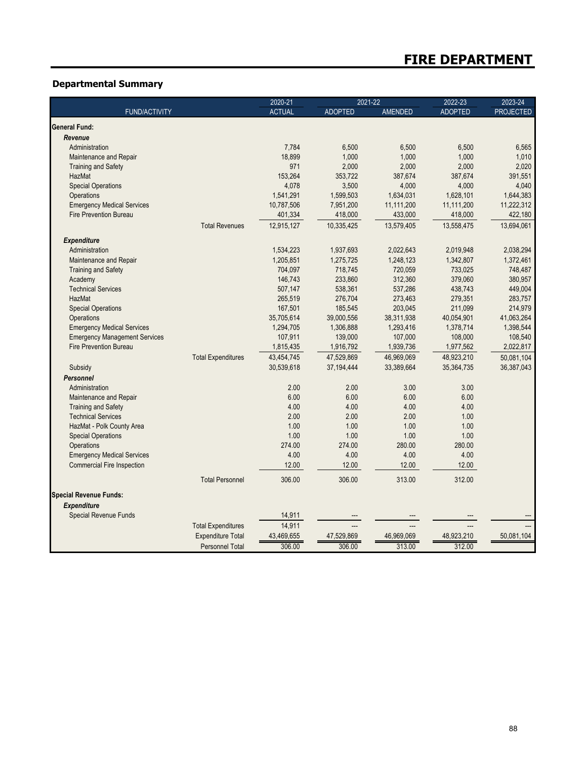## **Departmental Summary**

|                                                                        |                           | 2020-21       | 2021-22        |                | 2022-23        | 2023-24          |
|------------------------------------------------------------------------|---------------------------|---------------|----------------|----------------|----------------|------------------|
| <b>FUND/ACTIVITY</b>                                                   |                           | <b>ACTUAL</b> | <b>ADOPTED</b> | <b>AMENDED</b> | <b>ADOPTED</b> | <b>PROJECTED</b> |
| General Fund:                                                          |                           |               |                |                |                |                  |
| Revenue                                                                |                           |               |                |                |                |                  |
| Administration                                                         |                           | 7,784         | 6,500          | 6,500          | 6,500          | 6,565            |
| Maintenance and Repair                                                 |                           | 18,899        | 1,000          | 1,000          | 1.000          | 1,010            |
| <b>Training and Safety</b>                                             |                           | 971           | 2,000          | 2,000          | 2,000          | 2,020            |
| HazMat                                                                 |                           | 153,264       | 353,722        | 387,674        | 387,674        | 391,551          |
| <b>Special Operations</b>                                              |                           | 4,078         | 3,500          | 4,000          | 4,000          | 4,040            |
| Operations                                                             |                           | 1,541,291     | 1,599,503      | 1,634,031      | 1,628,101      | 1,644,383        |
| <b>Emergency Medical Services</b>                                      |                           | 10,787,506    | 7,951,200      | 11,111,200     | 11,111,200     | 11,222,312       |
| <b>Fire Prevention Bureau</b>                                          |                           | 401,334       | 418,000        | 433,000        | 418,000        | 422,180          |
|                                                                        | <b>Total Revenues</b>     | 12,915,127    | 10,335,425     | 13,579,405     | 13,558,475     | 13,694,061       |
| <b>Expenditure</b>                                                     |                           |               |                |                |                |                  |
| Administration                                                         |                           | 1,534,223     | 1,937,693      | 2,022,643      | 2,019,948      | 2,038,294        |
| Maintenance and Repair                                                 |                           | 1,205,851     | 1,275,725      | 1,248,123      | 1,342,807      | 1,372,461        |
| <b>Training and Safety</b>                                             |                           | 704,097       | 718,745        | 720,059        | 733,025        | 748,487          |
| Academy                                                                |                           | 146,743       | 233,860        | 312,360        | 379,060        | 380,957          |
| <b>Technical Services</b>                                              |                           | 507,147       | 538,361        | 537,286        | 438,743        | 449,004          |
| HazMat                                                                 |                           | 265,519       | 276,704        | 273,463        | 279,351        | 283,757          |
| <b>Special Operations</b>                                              |                           | 167,501       | 185,545        | 203,045        | 211,099        | 214,979          |
| Operations                                                             |                           | 35,705,614    | 39,000,556     | 38,311,938     | 40,054,901     | 41,063,264       |
| <b>Emergency Medical Services</b>                                      |                           | 1,294,705     | 1,306,888      | 1,293,416      | 1,378,714      | 1,398,544        |
| <b>Emergency Management Services</b>                                   |                           | 107,911       | 139,000        | 107,000        | 108,000        | 108,540          |
| <b>Fire Prevention Bureau</b>                                          |                           | 1,815,435     | 1,916,792      | 1,939,736      | 1,977,562      | 2,022,817        |
|                                                                        | <b>Total Expenditures</b> | 43,454,745    | 47,529,869     | 46,969,069     | 48,923,210     | 50,081,104       |
| Subsidy                                                                |                           | 30,539,618    | 37,194,444     | 33,389,664     | 35,364,735     | 36,387,043       |
| <b>Personnel</b>                                                       |                           |               |                |                |                |                  |
| Administration                                                         |                           | 2.00          | 2.00           | 3.00           | 3.00           |                  |
| Maintenance and Repair                                                 |                           | 6.00          | 6.00           | 6.00           | 6.00           |                  |
| <b>Training and Safety</b>                                             |                           | 4.00          | 4.00           | 4.00           | 4.00           |                  |
| <b>Technical Services</b>                                              |                           | 2.00          | 2.00           | 2.00           | 1.00           |                  |
| HazMat - Polk County Area                                              |                           | 1.00          | 1.00           | 1.00           | 1.00           |                  |
| <b>Special Operations</b>                                              |                           | 1.00          | 1.00           | 1.00           | 1.00           |                  |
| Operations                                                             |                           | 274.00        | 274.00         | 280.00         | 280.00         |                  |
|                                                                        |                           | 4.00          | 4.00           | 4.00           | 4.00           |                  |
| <b>Emergency Medical Services</b><br><b>Commercial Fire Inspection</b> |                           |               | 12.00          |                |                |                  |
|                                                                        |                           | 12.00         |                | 12.00          | 12.00          |                  |
|                                                                        | <b>Total Personnel</b>    | 306.00        | 306.00         | 313.00         | 312.00         |                  |
| <b>Special Revenue Funds:</b>                                          |                           |               |                |                |                |                  |
| <b>Expenditure</b>                                                     |                           |               |                |                |                |                  |
| Special Revenue Funds                                                  |                           | 14,911        |                |                |                |                  |
|                                                                        | <b>Total Expenditures</b> | 14,911        |                |                |                |                  |
|                                                                        | <b>Expenditure Total</b>  | 43,469,655    | 47,529,869     | 46,969,069     | 48,923,210     | 50,081,104       |
|                                                                        | <b>Personnel Total</b>    | 306.00        | 306.00         | 313.00         | 312.00         |                  |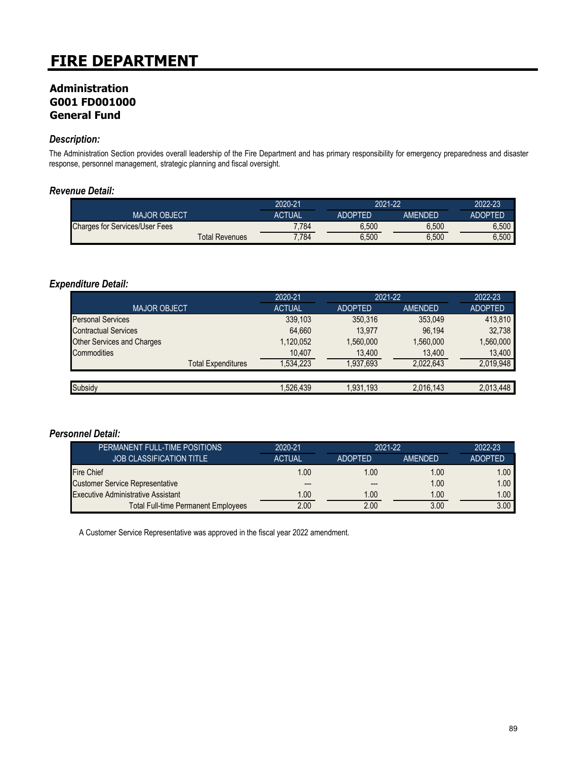### **Administration G001 FD001000 General Fund**

### *Description:*

The Administration Section provides overall leadership of the Fire Department and has primary responsibility for emergency preparedness and disaster response, personnel management, strategic planning and fiscal oversight.

### *Revenue Detail:*

|                                       | 2020-21       |                | 2021-22        |                |
|---------------------------------------|---------------|----------------|----------------|----------------|
| <b>MAJOR OBJECT</b>                   | <b>ACTUAL</b> | <b>ADOPTED</b> | <b>AMFNDFD</b> | <b>ADOPTED</b> |
| <b>Charges for Services/User Fees</b> | 7.784         | 6.500          | 6.500          | 6.500          |
| <b>Total Revenues</b>                 | 7.784         | 6.500          | 6,500          | 6.500          |

### *Expenditure Detail:*

|                                   | 2020-21       | 2021-22        |           | 2022-23        |
|-----------------------------------|---------------|----------------|-----------|----------------|
| <b>MAJOR OBJECT</b>               | <b>ACTUAL</b> | <b>ADOPTED</b> | AMENDED   | <b>ADOPTED</b> |
| <b>Personal Services</b>          | 339,103       | 350.316        | 353.049   | 413,810        |
| <b>Contractual Services</b>       | 64.660        | 13.977         | 96.194    | 32,738         |
| <b>Other Services and Charges</b> | 1,120,052     | 1.560.000      | 1,560,000 | 1,560,000      |
| Commodities                       | 10,407        | 13,400         | 13,400    | 13,400         |
| <b>Total Expenditures</b>         | 1,534,223     | 1,937,693      | 2.022.643 | 2,019,948      |
|                                   |               |                |           |                |
| Subsidy                           | 1,526,439     | 1,931,193      | 2,016,143 | 2,013,448      |

#### *Personnel Detail:*

| PERMANENT FULL-TIME POSITIONS              | 2020-21       | 2021-22        |                | 2022-23        |
|--------------------------------------------|---------------|----------------|----------------|----------------|
| <b>JOB CLASSIFICATION TITLE</b>            | <b>ACTUAL</b> | <b>ADOPTED</b> | <b>AMENDED</b> | <b>ADOPTED</b> |
| <b>Fire Chief</b>                          | 1.00          | 1.00           | 1.00           | 1.00           |
| <b>Customer Service Representative</b>     | $- - -$       |                | 1.00           | 1.00           |
| <b>Executive Administrative Assistant</b>  | 1.00          | 1.00           | 1.00           | 1.00           |
| <b>Total Full-time Permanent Employees</b> | 2.00          | 2.00           | 3.00           | 3.00           |

A Customer Service Representative was approved in the fiscal year 2022 amendment.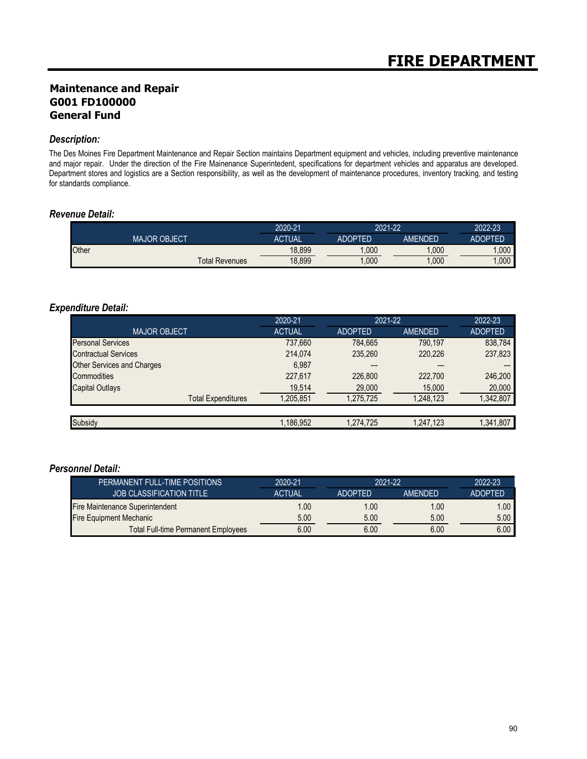### **Maintenance and Repair G001 FD100000 General Fund**

### *Description:*

The Des Moines Fire Department Maintenance and Repair Section maintains Department equipment and vehicles, including preventive maintenance and major repair. Under the direction of the Fire Mainenance Superintedent, specifications for department vehicles and apparatus are developed. Department stores and logistics are a Section responsibility, as well as the development of maintenance procedures, inventory tracking, and testing for standards compliance.

### *Revenue Detail:*

|                       | 2020-21       | 2021-22        |         | 2022-23 |
|-----------------------|---------------|----------------|---------|---------|
| <b>MAJOR OBJECT</b>   | <b>ACTUAL</b> | <b>ADOPTED</b> | AMENDED | ADOPTED |
| Other                 | 18,899        | .000           | .000    | .000    |
| <b>Total Revenues</b> | 18,899        | ,000           | ,000    | .000    |

### *Expenditure Detail:*

|                                   | 2020-21       | 2021-22        |                | 2022-23        |
|-----------------------------------|---------------|----------------|----------------|----------------|
| <b>MAJOR OBJECT</b>               | <b>ACTUAL</b> | <b>ADOPTED</b> | <b>AMENDED</b> | <b>ADOPTED</b> |
| <b>Personal Services</b>          | 737,660       | 784.665        | 790.197        | 838,784        |
| <b>Contractual Services</b>       | 214,074       | 235,260        | 220,226        | 237,823        |
| <b>Other Services and Charges</b> | 6.987         | $---$          | ---            |                |
| Commodities                       | 227,617       | 226,800        | 222.700        | 246,200        |
| <b>Capital Outlays</b>            | 19,514        | 29,000         | 15,000         | 20,000         |
| <b>Total Expenditures</b>         | 1.205.851     | 1.275.725      | 1,248,123      | 1,342,807      |
|                                   |               |                |                |                |
| Subsidy                           | 1,186,952     | 1.274.725      | 1,247,123      | 1,341,807      |

| PERMANENT FULL-TIME POSITIONS              | 2020-21       | 2021-22        |                | 2022-23        |
|--------------------------------------------|---------------|----------------|----------------|----------------|
| <b>JOB CLASSIFICATION TITLE</b>            | <b>ACTUAL</b> | <b>ADOPTED</b> | <b>AMENDED</b> | <b>ADOPTED</b> |
| Fire Maintenance Superintendent            | 1.00          | 1.00           | 1.00           | 1.00           |
| <b>Fire Equipment Mechanic</b>             | 5.00          | 5.00           | 5.00           | 5.00           |
| <b>Total Full-time Permanent Employees</b> | 6.00          | 6.00           | 6.00           | 6.00           |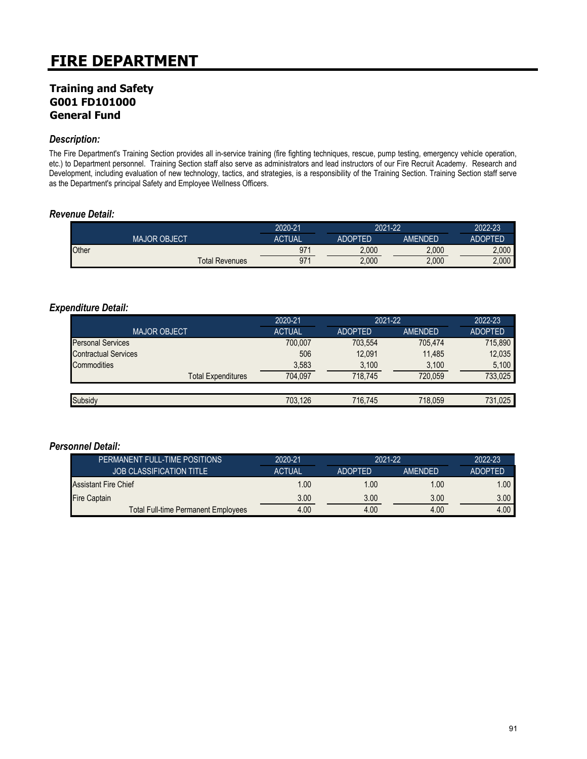### **Training and Safety G001 FD101000 General Fund**

### *Description:*

The Fire Department's Training Section provides all in-service training (fire fighting techniques, rescue, pump testing, emergency vehicle operation, etc.) to Department personnel. Training Section staff also serve as administrators and lead instructors of our Fire Recruit Academy. Research and Development, including evaluation of new technology, tactics, and strategies, is a responsibility of the Training Section. Training Section staff serve as the Department's principal Safety and Employee Wellness Officers.

### *Revenue Detail:*

|       |                     |                       | 2020-21       | 2021-22        |         | 2022-23        |
|-------|---------------------|-----------------------|---------------|----------------|---------|----------------|
|       | <b>MAJOR OBJECT</b> |                       | <b>ACTUAL</b> | <b>ADOPTED</b> | AMFNDFD | <b>ADOPTED</b> |
| Other |                     |                       | 97'           | 2.000          | 2,000   | 2.000          |
|       |                     | <b>Total Revenues</b> | 971           | 2,000          | 2,000   | 2,000          |

### *Expenditure Detail:*

|                             | 2020-21       | 2021-22        |         | 2022-23        |
|-----------------------------|---------------|----------------|---------|----------------|
| <b>MAJOR OBJECT</b>         | <b>ACTUAL</b> | <b>ADOPTED</b> | AMENDED | <b>ADOPTED</b> |
| <b>Personal Services</b>    | 700,007       | 703.554        | 705.474 | 715,890        |
| <b>Contractual Services</b> | 506           | 12.091         | 11.485  | 12,035         |
| Commodities                 | 3,583         | 3,100          | 3,100   | 5,100          |
| <b>Total Expenditures</b>   | 704.097       | 718.745        | 720.059 | 733.025        |
|                             |               |                |         |                |
| Subsidy                     | 703.126       | 716.745        | 718.059 | 731.025        |

| PERMANENT FULL-TIME POSITIONS              | 2020-21       | 2021-22        |                | 2022-23           |
|--------------------------------------------|---------------|----------------|----------------|-------------------|
| <b>JOB CLASSIFICATION TITLE</b>            | <b>ACTUAL</b> | <b>ADOPTED</b> | <b>AMENDED</b> | <b>ADOPTED</b>    |
| <b>Assistant Fire Chief</b>                | 1.00          | 1.00           | 1.00           | 1.00 <sub>1</sub> |
| <b>Fire Captain</b>                        | 3.00          | 3.00           | 3.00           | 3.00 <sub>1</sub> |
| <b>Total Full-time Permanent Employees</b> | 4.00          | 4.00           | 4.00           | 4.00              |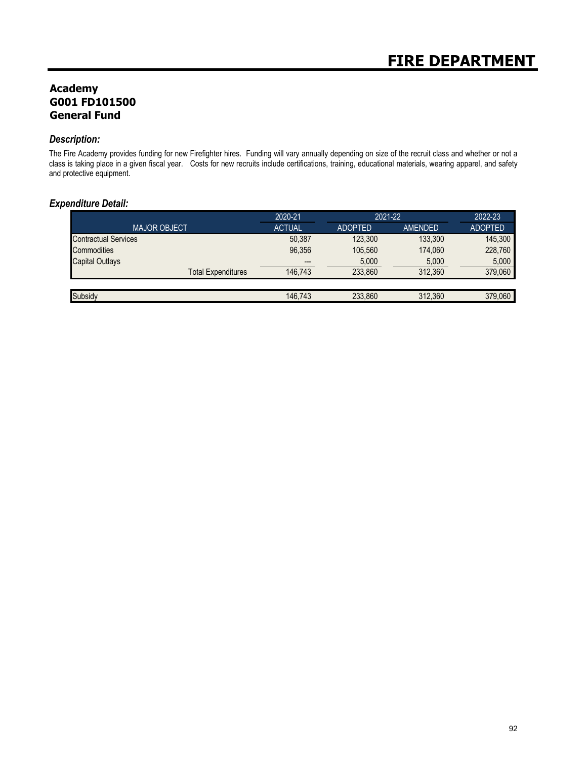## **Academy G001 FD101500 General Fund**

### *Description:*

The Fire Academy provides funding for new Firefighter hires. Funding will vary annually depending on size of the recruit class and whether or not a class is taking place in a given fiscal year. Costs for new recruits include certifications, training, educational materials, wearing apparel, and safety and protective equipment.

### *Expenditure Detail:*

|                             | 2020-21       | 2021-22        |                | 2022-23        |
|-----------------------------|---------------|----------------|----------------|----------------|
| <b>MAJOR OBJECT</b>         | <b>ACTUAL</b> | <b>ADOPTED</b> | <b>AMENDED</b> | <b>ADOPTED</b> |
| <b>Contractual Services</b> | 50,387        | 123.300        | 133.300        | 145.300        |
| <b>Commodities</b>          | 96,356        | 105.560        | 174.060        | 228.760        |
| <b>Capital Outlays</b>      | $-- -$        | 5,000          | 5,000          | 5.000          |
| <b>Total Expenditures</b>   | 146.743       | 233.860        | 312.360        | 379.060        |
|                             |               |                |                |                |
| Subsidy                     | 146.743       | 233.860        | 312.360        | 379.060        |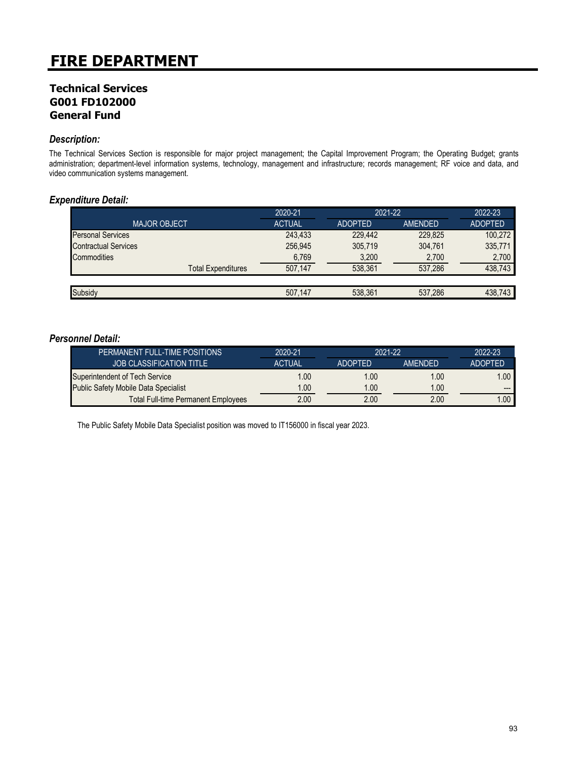### **Technical Services G001 FD102000 General Fund**

### *Description:*

The Technical Services Section is responsible for major project management; the Capital Improvement Program; the Operating Budget; grants administration; department-level information systems, technology, management and infrastructure; records management; RF voice and data, and video communication systems management.

### *Expenditure Detail:*

|                             | 2020-21       |                | 2021-22 |                |
|-----------------------------|---------------|----------------|---------|----------------|
| <b>MAJOR OBJECT</b>         | <b>ACTUAL</b> | <b>ADOPTED</b> | AMENDED | <b>ADOPTED</b> |
| <b>Personal Services</b>    | 243,433       | 229.442        | 229.825 | 100,272        |
| <b>Contractual Services</b> | 256,945       | 305,719        | 304,761 | 335,771        |
| <b>Commodities</b>          | 6,769         | 3,200          | 2,700   | 2,700          |
| <b>Total Expenditures</b>   | 507.147       | 538.361        | 537,286 | 438,743        |
|                             |               |                |         |                |
| Subsidy                     | 507.147       | 538.361        | 537,286 | 438,743        |

#### *Personnel Detail:*

| PERMANENT FULL-TIME POSITIONS               | 2020-21       | 2021-22        |                | 2022-23        |
|---------------------------------------------|---------------|----------------|----------------|----------------|
| <b>JOB CLASSIFICATION TITLE</b>             | <b>ACTUAL</b> | <b>ADOPTED</b> | <b>AMENDED</b> | <b>ADOPTED</b> |
| Superintendent of Tech Service              | 1.00          | 1.00           | 1.00           | $.00 \,$       |
| <b>Public Safety Mobile Data Specialist</b> | 1.00          | 1.00           | 1.00           | $---$          |
| <b>Total Full-time Permanent Employees</b>  | 2.00          | 2.00           | 2.00           | $.00\,$        |

The Public Safety Mobile Data Specialist position was moved to IT156000 in fiscal year 2023.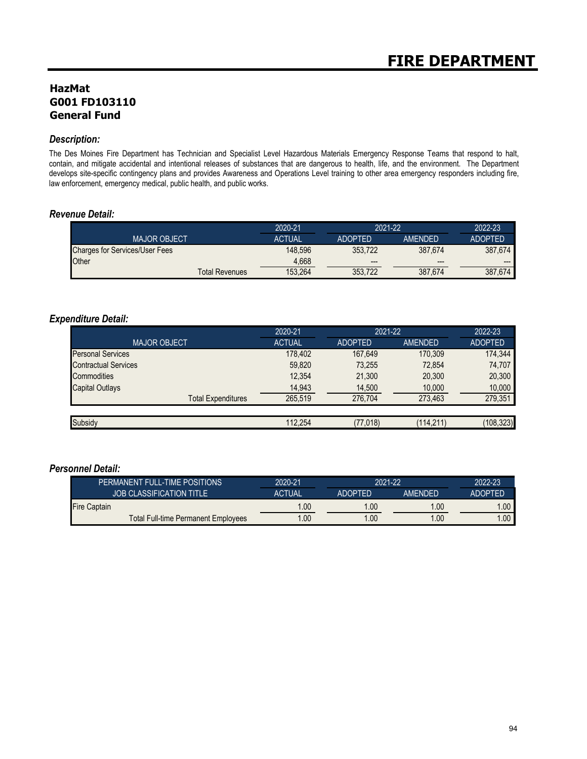## **HazMat G001 FD103110 General Fund**

### *Description:*

The Des Moines Fire Department has Technician and Specialist Level Hazardous Materials Emergency Response Teams that respond to halt, contain, and mitigate accidental and intentional releases of substances that are dangerous to health, life, and the environment. The Department develops site-specific contingency plans and provides Awareness and Operations Level training to other area emergency responders including fire, law enforcement, emergency medical, public health, and public works.

### *Revenue Detail:*

|                                       | 2020-21       | 2021-22        |                | 2022-23        |
|---------------------------------------|---------------|----------------|----------------|----------------|
| <b>MAJOR OBJECT</b>                   | <b>ACTUAL</b> | <b>ADOPTED</b> | <b>AMENDED</b> | <b>ADOPTED</b> |
| <b>Charges for Services/User Fees</b> | 148.596       | 353.722        | 387.674        | 387.674        |
| Other                                 | 4.668         | $---$          | $---$          | ---            |
| <b>Total Revenues</b>                 | 153.264       | 353.722        | 387,674        | 387.674        |

### *Expenditure Detail:*

|                             | 2020-21<br>2021-22 |                |            | 2022-23        |  |
|-----------------------------|--------------------|----------------|------------|----------------|--|
| <b>MAJOR OBJECT</b>         | <b>ACTUAL</b>      | <b>ADOPTED</b> | AMENDED    | <b>ADOPTED</b> |  |
| <b>Personal Services</b>    | 178,402            | 167.649        | 170.309    | 174,344        |  |
| <b>Contractual Services</b> | 59,820             | 73,255         | 72,854     | 74,707         |  |
| Commodities                 | 12,354             | 21,300         | 20,300     | 20,300         |  |
| <b>Capital Outlays</b>      | 14,943             | 14,500         | 10,000     | 10,000         |  |
| <b>Total Expenditures</b>   | 265.519            | 276.704        | 273.463    | 279,351        |  |
|                             |                    |                |            |                |  |
| Subsidy                     | 112,254            | (77, 018)      | (114, 211) | (108, 323)     |  |

| PERMANENT FULL-TIME POSITIONS       | 2020-21       | 2021-22        |                | 2022-23        |
|-------------------------------------|---------------|----------------|----------------|----------------|
| <b>JOB CLASSIFICATION TITLE</b>     | <b>ACTUAL</b> | <b>ADOPTED</b> | <b>AMENDED</b> | <b>ADOPTED</b> |
| <b>Fire Captain</b>                 | 00. ا         | 1.00           | .00            | .00            |
| Total Full-time Permanent Employees | .00           | .00            | .00            | .00            |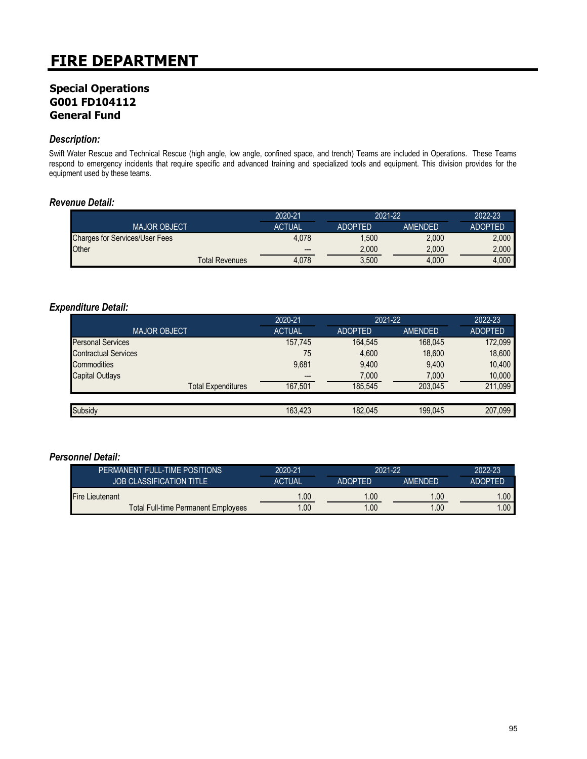## **Special Operations G001 FD104112 General Fund**

### *Description:*

Swift Water Rescue and Technical Rescue (high angle, low angle, confined space, and trench) Teams are included in Operations. These Teams respond to emergency incidents that require specific and advanced training and specialized tools and equipment. This division provides for the equipment used by these teams.

### *Revenue Detail:*

|                                       | 2020-21                  | 2021-22        |                | 2022-23        |
|---------------------------------------|--------------------------|----------------|----------------|----------------|
| <b>MAJOR OBJECT</b>                   | <b>ACTUAL</b>            | <b>ADOPTED</b> | <b>AMENDED</b> | <b>ADOPTED</b> |
| <b>Charges for Services/User Fees</b> | 4.078                    | ,500           | 2,000          | 2.000          |
| Other                                 | $\hspace{0.05cm} \cdots$ | 2,000          | 2,000          | 2.000          |
| <b>Total Revenues</b>                 | 4.078                    | 3.500          | 4.000          | 4.000          |

### *Expenditure Detail:*

|                             | 2020-21       | 2021-22        |                | 2022-23        |
|-----------------------------|---------------|----------------|----------------|----------------|
| <b>MAJOR OBJECT</b>         | <b>ACTUAL</b> | <b>ADOPTED</b> | <b>AMENDED</b> | <b>ADOPTED</b> |
| <b>Personal Services</b>    | 157,745       | 164.545        | 168.045        | 172,099        |
| <b>Contractual Services</b> | 75            | 4,600          | 18,600         | 18,600         |
| Commodities                 | 9,681         | 9.400          | 9,400          | 10,400         |
| <b>Capital Outlays</b>      | $---$         | 7,000          | 7,000          | 10,000         |
| <b>Total Expenditures</b>   | 167.501       | 185.545        | 203.045        | 211,099        |
|                             |               |                |                |                |
| Subsidy                     | 163.423       | 182,045        | 199,045        | 207,099        |

|                        | PERMANENT FULL-TIME POSITIONS       | 2020-21       | 2021-22                |                | 2022-23        |
|------------------------|-------------------------------------|---------------|------------------------|----------------|----------------|
|                        | <b>JOB CLASSIFICATION TITLE</b>     | <b>ACTUAL</b> | <b>ADOPTED</b>         | <b>AMFNDFD</b> | <b>ADOPTED</b> |
| <b>Fire Lieutenant</b> |                                     | .00           | $\mathord{\text{.00}}$ | .00            | .00.           |
|                        | Total Full-time Permanent Employees | .00           | .00                    | .00            |                |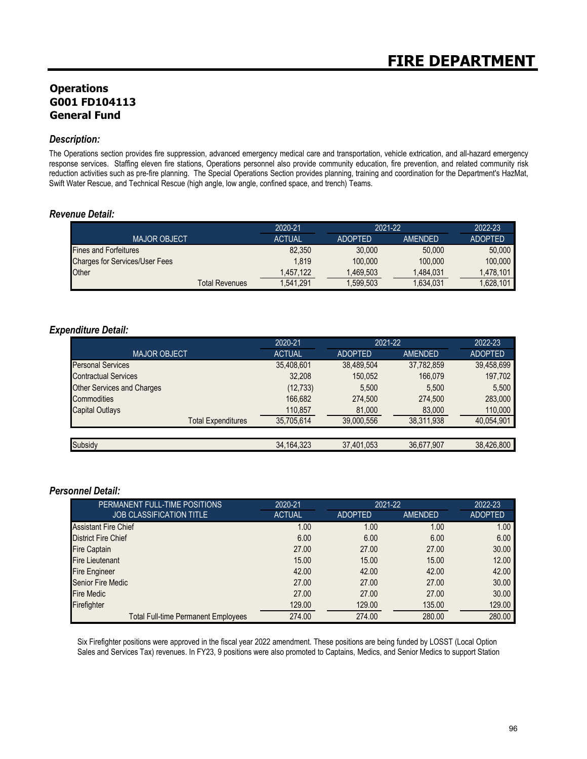## **Operations G001 FD104113 General Fund**

### *Description:*

The Operations section provides fire suppression, advanced emergency medical care and transportation, vehicle extrication, and all-hazard emergency response services. Staffing eleven fire stations, Operations personnel also provide community education, fire prevention, and related community risk reduction activities such as pre-fire planning. The Special Operations Section provides planning, training and coordination for the Department's HazMat, Swift Water Rescue, and Technical Rescue (high angle, low angle, confined space, and trench) Teams.

### *Revenue Detail:*

|                                       | 2020-21       | 2021-22        |           | 2022-23        |
|---------------------------------------|---------------|----------------|-----------|----------------|
| <b>MAJOR OBJECT</b>                   | <b>ACTUAL</b> | <b>ADOPTED</b> | AMENDED   | <b>ADOPTED</b> |
| <b>Fines and Forfeitures</b>          | 82.350        | 30,000         | 50,000    | 50,000         |
| <b>Charges for Services/User Fees</b> | 1.819         | 100,000        | 100.000   | 100.000        |
| Other                                 | 1,457,122     | 1.469.503      | 1.484.031 | 1.478.101      |
| Total Revenues                        | 1.541.291     | 1.599.503      | 1,634,031 | .628.101       |

### *Expenditure Detail:*

|                                   | 2020-21       | 2021-22        |                | 2022-23        |
|-----------------------------------|---------------|----------------|----------------|----------------|
| <b>MAJOR OBJECT.</b>              | <b>ACTUAL</b> | <b>ADOPTED</b> | <b>AMENDED</b> | <b>ADOPTED</b> |
| <b>Personal Services</b>          | 35,408,601    | 38,489,504     | 37,782,859     | 39,458,699     |
| <b>Contractual Services</b>       | 32,208        | 150,052        | 166,079        | 197,702        |
| <b>Other Services and Charges</b> | (12, 733)     | 5.500          | 5,500          | 5.500          |
| Commodities                       | 166,682       | 274.500        | 274,500        | 283,000        |
| <b>Capital Outlays</b>            | 110,857       | 81,000         | 83,000         | 110,000        |
| <b>Total Expenditures</b>         | 35,705,614    | 39,000,556     | 38,311,938     | 40,054,901     |
|                                   |               |                |                |                |
| Subsidy                           | 34, 164, 323  | 37,401,053     | 36,677,907     | 38,426,800     |

### *Personnel Detail:*

| PERMANENT FULL-TIME POSITIONS              | 2020-21       | 2021-22        |                | 2022-23        |
|--------------------------------------------|---------------|----------------|----------------|----------------|
| <b>JOB CLASSIFICATION TITLE</b>            | <b>ACTUAL</b> | <b>ADOPTED</b> | <b>AMENDED</b> | <b>ADOPTED</b> |
| <b>Assistant Fire Chief</b>                | 1.00          | 1.00           | 1.00           | 1.00           |
| <b>District Fire Chief</b>                 | 6.00          | 6.00           | 6.00           | 6.00           |
| <b>Fire Captain</b>                        | 27.00         | 27.00          | 27.00          | 30.00          |
| <b>Fire Lieutenant</b>                     | 15.00         | 15.00          | 15.00          | 12.00          |
| <b>Fire Engineer</b>                       | 42.00         | 42.00          | 42.00          | 42.00          |
| <b>Senior Fire Medic</b>                   | 27.00         | 27.00          | 27.00          | 30.00          |
| <b>Fire Medic</b>                          | 27.00         | 27.00          | 27.00          | 30.00          |
| Firefighter                                | 129.00        | 129.00         | 135.00         | 129.00         |
| <b>Total Full-time Permanent Employees</b> | 274.00        | 274.00         | 280.00         | 280.00         |

Six Firefighter positions were approved in the fiscal year 2022 amendment. These positions are being funded by LOSST (Local Option Sales and Services Tax) revenues. In FY23, 9 positions were also promoted to Captains, Medics, and Senior Medics to support Station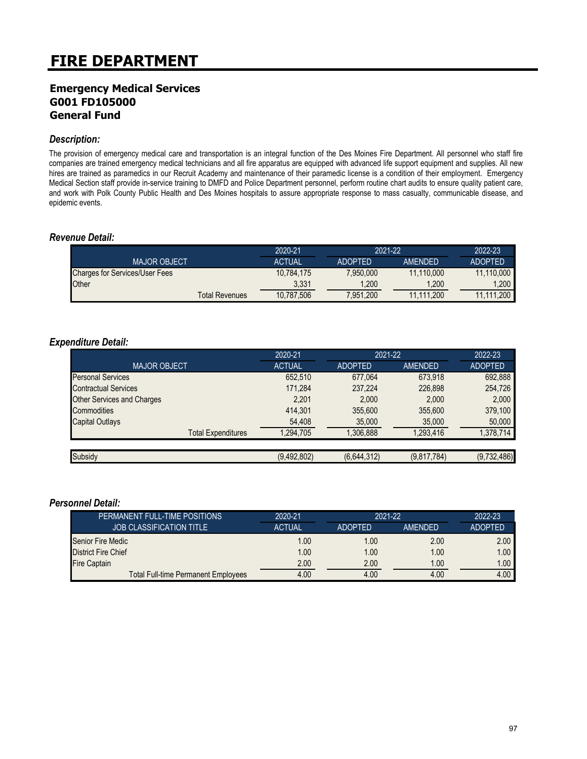### **Emergency Medical Services G001 FD105000 General Fund**

#### *Description:*

The provision of emergency medical care and transportation is an integral function of the Des Moines Fire Department. All personnel who staff fire companies are trained emergency medical technicians and all fire apparatus are equipped with advanced life support equipment and supplies. All new hires are trained as paramedics in our Recruit Academy and maintenance of their paramedic license is a condition of their employment. Emergency Medical Section staff provide in-service training to DMFD and Police Department personnel, perform routine chart audits to ensure quality patient care, and work with Polk County Public Health and Des Moines hospitals to assure appropriate response to mass casualty, communicable disease, and epidemic events.

### *Revenue Detail:*

|                                       | 2020-21       | 2021-22        |                | 2022-23        |
|---------------------------------------|---------------|----------------|----------------|----------------|
| <b>MAJOR OBJECT</b>                   | <b>ACTUAL</b> | <b>ADOPTED</b> | <b>AMFNDFD</b> | <b>ADOPTED</b> |
| <b>Charges for Services/User Fees</b> | 10,784,175    | 7,950,000      | 11.110.000     | 11.110.000     |
| Other                                 | 3.331         | ,200           | 1.200          | .200           |
| <b>Total Revenues</b>                 | 10,787,506    | 7,951,200      | 11.111.200     | 11.111.200     |

### *Expenditure Detail:*

|                                   | 2020-21       | 2021-22        |                | 2022-23        |
|-----------------------------------|---------------|----------------|----------------|----------------|
| <b>MAJOR OBJECT</b>               | <b>ACTUAL</b> | <b>ADOPTED</b> | <b>AMENDED</b> | <b>ADOPTED</b> |
| <b>Personal Services</b>          | 652,510       | 677.064        | 673.918        | 692,888        |
| <b>Contractual Services</b>       | 171,284       | 237,224        | 226,898        | 254,726        |
| <b>Other Services and Charges</b> | 2,201         | 2,000          | 2,000          | 2,000          |
| Commodities                       | 414,301       | 355,600        | 355,600        | 379,100        |
| <b>Capital Outlays</b>            | 54,408        | 35,000         | 35,000         | 50,000         |
| <b>Total Expenditures</b>         | 1,294,705     | 1,306,888      | 1,293,416      | 1,378,714      |
|                                   |               |                |                |                |
| Subsidy                           | (9,492,802)   | (6,644,312)    | (9,817,784)    | (9,732,486)    |

| PERMANENT FULL-TIME POSITIONS'      | 2020-21       | $2021 - 22$    |                | $2022 - 23$       |
|-------------------------------------|---------------|----------------|----------------|-------------------|
| <b>JOB CLASSIFICATION TITLE</b>     | <b>ACTUAL</b> | <b>ADOPTED</b> | <b>AMENDED</b> | <b>ADOPTED</b>    |
| Senior Fire Medic                   | 1.00          | 1.00           | 2.00           | 2.00              |
| <b>District Fire Chief</b>          | 1.00          | 1.00           | 1.00           | 1.00 <sub>1</sub> |
| <b>Fire Captain</b>                 | 2.00          | 2.00           | 1.00           | 1.00              |
| Total Full-time Permanent Employees | 4.00          | 4.00           | 4.00           | 4.00              |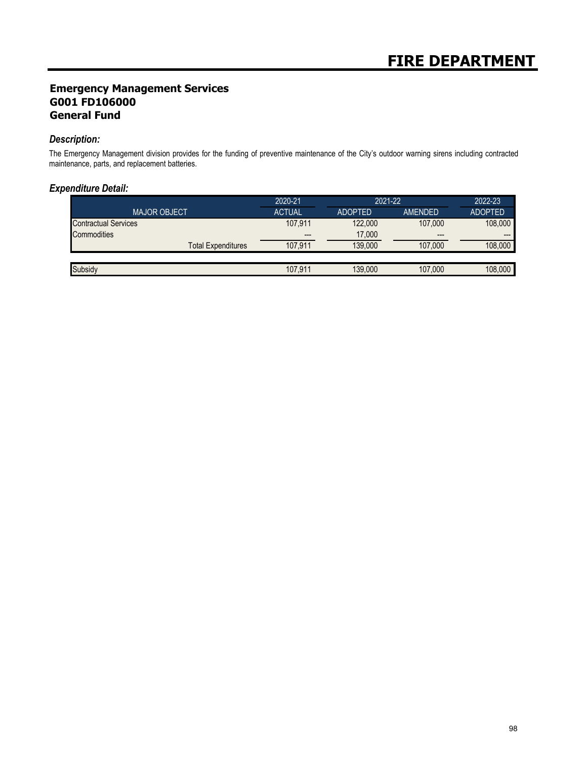## **Emergency Management Services G001 FD106000 General Fund**

### *Description:*

The Emergency Management division provides for the funding of preventive maintenance of the City's outdoor warning sirens including contracted maintenance, parts, and replacement batteries.

### *Expenditure Detail:*

|                             |                           | 2020-21                  | 2021-22        |                        | 2022-23        |
|-----------------------------|---------------------------|--------------------------|----------------|------------------------|----------------|
| <b>MAJOR OBJECT</b>         |                           | <b>ACTUAL</b>            | <b>ADOPTED</b> | AMENDED                | <b>ADOPTED</b> |
| <b>Contractual Services</b> |                           | 107.911                  | 122,000        | 107,000                | 108,000        |
| Commodities                 |                           | $\hspace{0.05cm} \cdots$ | 17,000         | $\qquad \qquad \cdots$ | ---            |
|                             | <b>Total Expenditures</b> | 107.911                  | 139.000        | 107.000                | 108.000        |
|                             |                           |                          |                |                        |                |
| Subsidy                     |                           | 107.911                  | 139,000        | 107,000                | 108,000        |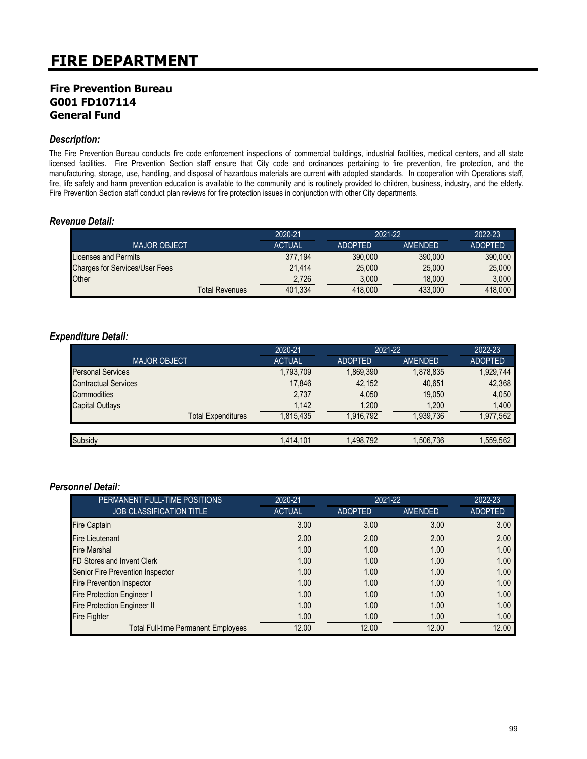### **Fire Prevention Bureau G001 FD107114 General Fund**

### *Description:*

The Fire Prevention Bureau conducts fire code enforcement inspections of commercial buildings, industrial facilities, medical centers, and all state licensed facilities. Fire Prevention Section staff ensure that City code and ordinances pertaining to fire prevention, fire protection, and the manufacturing, storage, use, handling, and disposal of hazardous materials are current with adopted standards. In cooperation with Operations staff, fire, life safety and harm prevention education is available to the community and is routinely provided to children, business, industry, and the elderly. Fire Prevention Section staff conduct plan reviews for fire protection issues in conjunction with other City departments.

### *Revenue Detail:*

|                                       | 2020-21       | 2021-22        |                | 2022-23        |
|---------------------------------------|---------------|----------------|----------------|----------------|
| <b>MAJOR OBJECT</b>                   | <b>ACTUAL</b> | <b>ADOPTED</b> | <b>AMENDED</b> | <b>ADOPTED</b> |
| Licenses and Permits                  | 377.194       | 390,000        | 390,000        | 390,000        |
| <b>Charges for Services/User Fees</b> | 21.414        | 25,000         | 25,000         | 25,000         |
| Other                                 | 2,726         | 3,000          | 18,000         | 3,000          |
| Total Revenues                        | 401,334       | 418,000        | 433.000        | 418,000        |

### *Expenditure Detail:*

|                             | 2020-21       | 2021-22        |           | 2022-23        |
|-----------------------------|---------------|----------------|-----------|----------------|
| <b>MAJOR OBJECT</b>         | <b>ACTUAL</b> | <b>ADOPTED</b> | AMENDED   | <b>ADOPTED</b> |
| <b>Personal Services</b>    | 1,793,709     | 1,869,390      | 1,878,835 | 1,929,744      |
| <b>Contractual Services</b> | 17.846        | 42,152         | 40.651    | 42,368         |
| Commodities                 | 2,737         | 4.050          | 19,050    | 4.050          |
| <b>Capital Outlays</b>      | 1,142         | 1,200          | 1,200     | 1,400          |
| <b>Total Expenditures</b>   | 1.815.435     | 1.916.792      | 1,939,736 | ,977,562       |
|                             |               |                |           |                |
| Subsidy                     | 1,414,101     | 1,498,792      | 1,506,736 | .559,562       |

| PERMANENT FULL-TIME POSITIONS              | 2020-21       |                | 2021-22 |                |
|--------------------------------------------|---------------|----------------|---------|----------------|
| <b>JOB CLASSIFICATION TITLE</b>            | <b>ACTUAL</b> | <b>ADOPTED</b> | AMENDED | <b>ADOPTED</b> |
| <b>Fire Captain</b>                        | 3.00          | 3.00           | 3.00    | 3.00           |
| <b>Fire Lieutenant</b>                     | 2.00          | 2.00           | 2.00    | 2.00           |
| <b>Fire Marshal</b>                        | 1.00          | 1.00           | 1.00    | 1.00           |
| FD Stores and Invent Clerk                 | 1.00          | 1.00           | 1.00    | 1.00           |
| Senior Fire Prevention Inspector           | 1.00          | 1.00           | 1.00    | 1.00           |
| <b>Fire Prevention Inspector</b>           | 1.00          | 1.00           | 1.00    | 1.00           |
| <b>Fire Protection Engineer I</b>          | 1.00          | 1.00           | 1.00    | 1.00           |
| <b>Fire Protection Engineer II</b>         | 1.00          | 1.00           | 1.00    | 1.00           |
| <b>Fire Fighter</b>                        | 1.00          | 1.00           | 1.00    | 1.00           |
| <b>Total Full-time Permanent Employees</b> | 12.00         | 12.00          | 12.00   | 12.00          |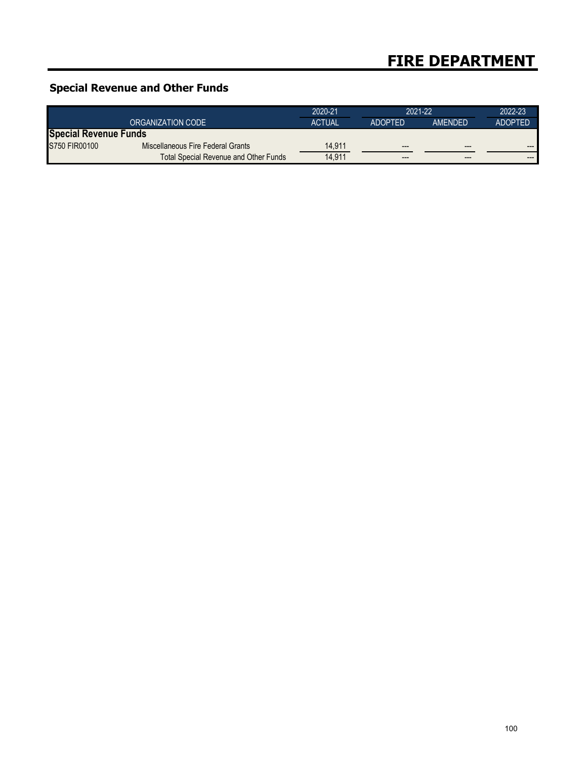## **Special Revenue and Other Funds**

|                              |                                       | 2020-21       | 2021-22        |                | 2022-23        |
|------------------------------|---------------------------------------|---------------|----------------|----------------|----------------|
|                              | ORGANIZATION CODE                     | <b>ACTUAL</b> | <b>ADOPTED</b> | <b>AMENDED</b> | <b>ADOPTED</b> |
| <b>Special Revenue Funds</b> |                                       |               |                |                |                |
| S750 FIR00100                | Miscellaneous Fire Federal Grants     | 14.911        | $---$          | $---$          | $---$          |
|                              | Total Special Revenue and Other Funds | 14.911        | $---$          | $- - -$        | $- - -$        |